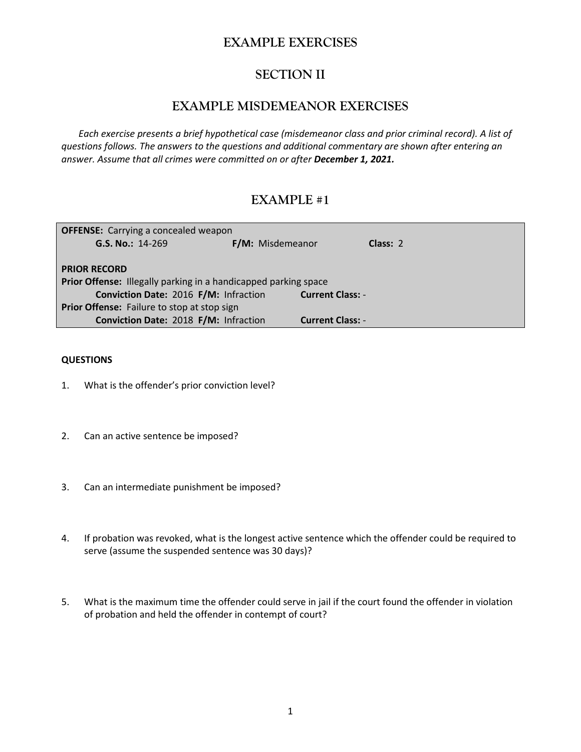## **EXAMPLE EXERCISES**

# **SECTION II**

## **EXAMPLE MISDEMEANOR EXERCISES**

*Each exercise presents a brief hypothetical case (misdemeanor class and prior criminal record). A list of questions follows. The answers to the questions and additional commentary are shown after entering an answer. Assume that all crimes were committed on or after December 1, 2021.*

# **EXAMPLE #1**

| <b>OFFENSE:</b> Carrying a concealed weapon                     |                         |          |  |  |
|-----------------------------------------------------------------|-------------------------|----------|--|--|
| G.S. No.: 14-269                                                | F/M: Misdemeanor        | Class: 2 |  |  |
|                                                                 |                         |          |  |  |
| <b>PRIOR RECORD</b>                                             |                         |          |  |  |
| Prior Offense: Illegally parking in a handicapped parking space |                         |          |  |  |
| Conviction Date: 2016 F/M: Infraction                           | <b>Current Class: -</b> |          |  |  |
| Prior Offense: Failure to stop at stop sign                     |                         |          |  |  |
| Conviction Date: 2018 F/M: Infraction                           | <b>Current Class: -</b> |          |  |  |

- 1. What is the offender's prior conviction level?
- 2. Can an active sentence be imposed?
- 3. Can an intermediate punishment be imposed?
- 4. If probation was revoked, what is the longest active sentence which the offender could be required to serve (assume the suspended sentence was 30 days)?
- 5. What is the maximum time the offender could serve in jail if the court found the offender in violation of probation and held the offender in contempt of court?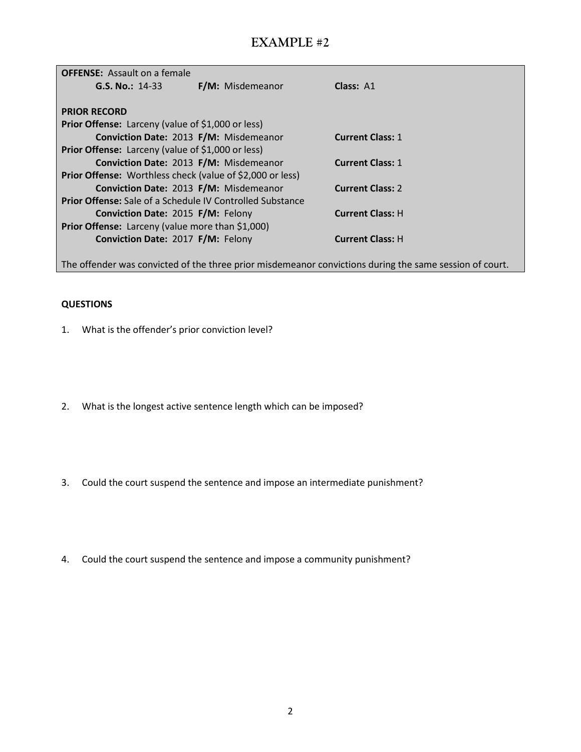| <b>OFFENSE:</b> Assault on a female                              |                         |                         |  |
|------------------------------------------------------------------|-------------------------|-------------------------|--|
| G.S. No.: 14-33                                                  | <b>F/M:</b> Misdemeanor | Class: A1               |  |
|                                                                  |                         |                         |  |
| <b>PRIOR RECORD</b>                                              |                         |                         |  |
| Prior Offense: Larceny (value of \$1,000 or less)                |                         |                         |  |
| Conviction Date: 2013 F/M: Misdemeanor                           |                         | <b>Current Class: 1</b> |  |
| <b>Prior Offense:</b> Larceny (value of \$1,000 or less)         |                         |                         |  |
| Conviction Date: 2013 F/M: Misdemeanor                           |                         | <b>Current Class: 1</b> |  |
| <b>Prior Offense:</b> Worthless check (value of \$2,000 or less) |                         |                         |  |
| Conviction Date: 2013 F/M: Misdemeanor                           |                         | <b>Current Class: 2</b> |  |
| <b>Prior Offense:</b> Sale of a Schedule IV Controlled Substance |                         |                         |  |
| Conviction Date: 2015 F/M: Felony                                |                         | <b>Current Class: H</b> |  |
| Prior Offense: Larceny (value more than \$1,000)                 |                         |                         |  |
| Conviction Date: 2017 F/M: Felony                                |                         | <b>Current Class: H</b> |  |
|                                                                  |                         |                         |  |

The offender was convicted of the three prior misdemeanor convictions during the same session of court.

- 1. What is the offender's prior conviction level?
- 2. What is the longest active sentence length which can be imposed?
- 3. Could the court suspend the sentence and impose an intermediate punishment?
- 4. Could the court suspend the sentence and impose a community punishment?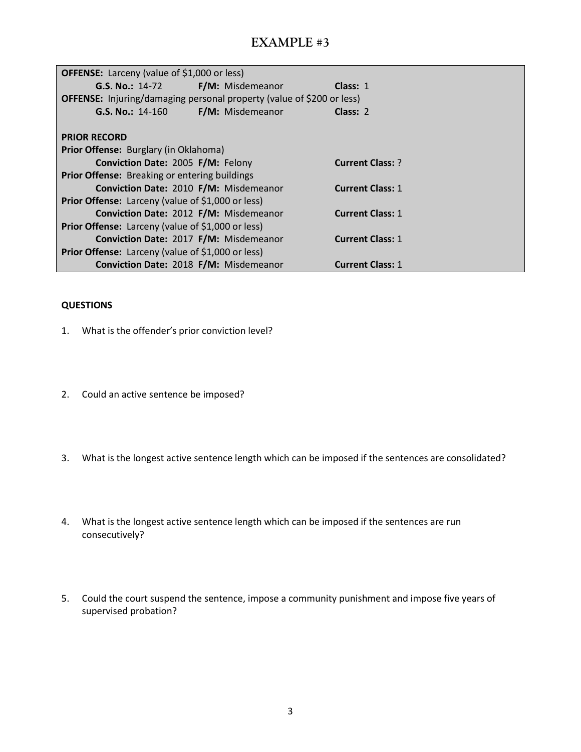| OFFENSE: Larceny (value of \$1,000 or less)                                  |                  |                         |  |
|------------------------------------------------------------------------------|------------------|-------------------------|--|
| G.S. No.: 14-72 F/M: Misdemeanor                                             |                  | Class: $1$              |  |
| <b>OFFENSE:</b> Injuring/damaging personal property (value of \$200 or less) |                  |                         |  |
| $G.S. No.: 14-160$                                                           | F/M: Misdemeanor | Class: $2$              |  |
|                                                                              |                  |                         |  |
| <b>PRIOR RECORD</b>                                                          |                  |                         |  |
| Prior Offense: Burglary (in Oklahoma)                                        |                  |                         |  |
| Conviction Date: 2005 F/M: Felony                                            |                  | <b>Current Class: ?</b> |  |
| Prior Offense: Breaking or entering buildings                                |                  |                         |  |
| Conviction Date: 2010 F/M: Misdemeanor                                       |                  | <b>Current Class: 1</b> |  |
| <b>Prior Offense:</b> Larceny (value of \$1,000 or less)                     |                  |                         |  |
| Conviction Date: 2012 F/M: Misdemeanor                                       |                  | <b>Current Class: 1</b> |  |
| <b>Prior Offense:</b> Larceny (value of \$1,000 or less)                     |                  |                         |  |
| Conviction Date: 2017 F/M: Misdemeanor                                       |                  | <b>Current Class: 1</b> |  |
| <b>Prior Offense:</b> Larceny (value of \$1,000 or less)                     |                  |                         |  |
| Conviction Date: 2018 F/M: Misdemeanor                                       |                  | <b>Current Class: 1</b> |  |

- 1. What is the offender's prior conviction level?
- 2. Could an active sentence be imposed?
- 3. What is the longest active sentence length which can be imposed if the sentences are consolidated?
- 4. What is the longest active sentence length which can be imposed if the sentences are run consecutively?
- 5. Could the court suspend the sentence, impose a community punishment and impose five years of supervised probation?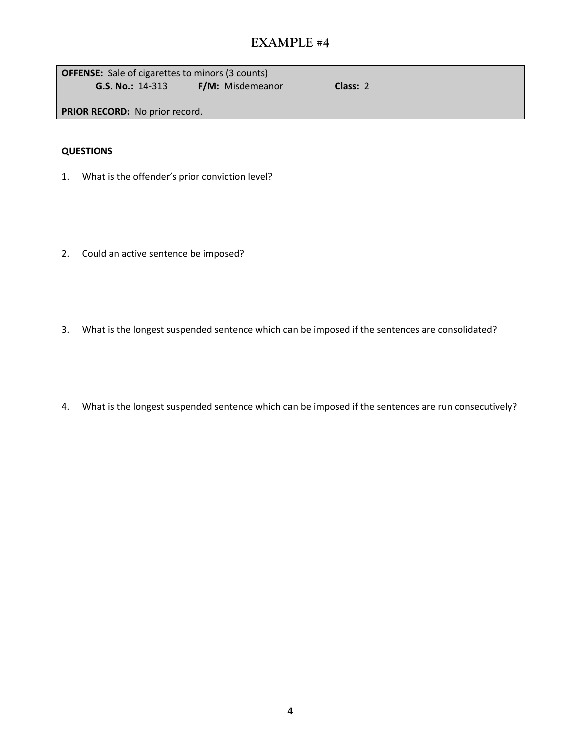| <b>OFFENSE:</b> Sale of cigarettes to minors (3 counts) |  |                  |
|---------------------------------------------------------|--|------------------|
| $G.S. No.: 14-313$                                      |  | F/M: Misdemeanor |

**G.S. No.:** 14-313 **F/M:** Misdemeanor **Class:** 2

**PRIOR RECORD:** No prior record.

- 1. What is the offender's prior conviction level?
- 2. Could an active sentence be imposed?
- 3. What is the longest suspended sentence which can be imposed if the sentences are consolidated?
- 4. What is the longest suspended sentence which can be imposed if the sentences are run consecutively?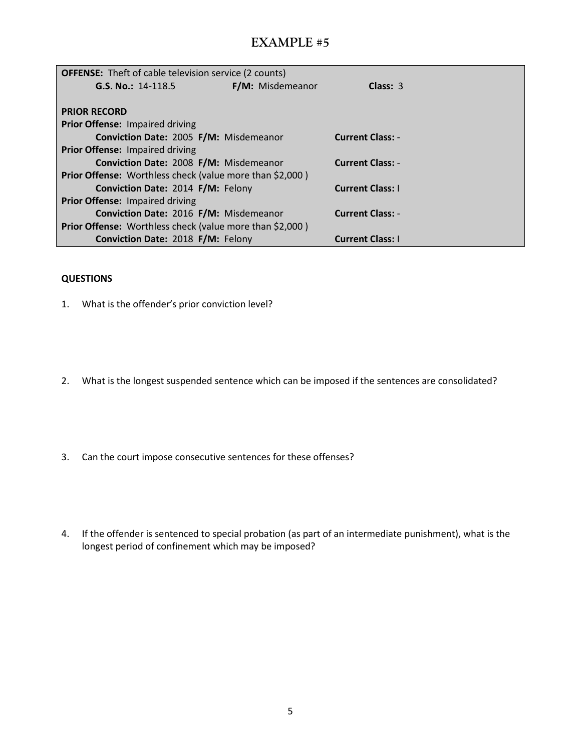| <b>OFFENSE:</b> Theft of cable television service (2 counts)    |                  |                         |  |
|-----------------------------------------------------------------|------------------|-------------------------|--|
| G.S. No.: 14-118.5                                              | F/M: Misdemeanor | Class: $3$              |  |
|                                                                 |                  |                         |  |
| <b>PRIOR RECORD</b>                                             |                  |                         |  |
| Prior Offense: Impaired driving                                 |                  |                         |  |
| Conviction Date: 2005 F/M: Misdemeanor                          |                  | <b>Current Class: -</b> |  |
| <b>Prior Offense: Impaired driving</b>                          |                  |                         |  |
| Conviction Date: 2008 F/M: Misdemeanor                          |                  | <b>Current Class: -</b> |  |
| <b>Prior Offense:</b> Worthless check (value more than \$2,000) |                  |                         |  |
| Conviction Date: 2014 F/M: Felony                               |                  | <b>Current Class: I</b> |  |
| Prior Offense: Impaired driving                                 |                  |                         |  |
| Conviction Date: 2016 F/M: Misdemeanor                          |                  | <b>Current Class: -</b> |  |
| Prior Offense: Worthless check (value more than \$2,000)        |                  |                         |  |
| Conviction Date: 2018 F/M: Felony                               |                  | <b>Current Class: I</b> |  |

- 1. What is the offender's prior conviction level?
- 2. What is the longest suspended sentence which can be imposed if the sentences are consolidated?
- 3. Can the court impose consecutive sentences for these offenses?
- 4. If the offender is sentenced to special probation (as part of an intermediate punishment), what is the longest period of confinement which may be imposed?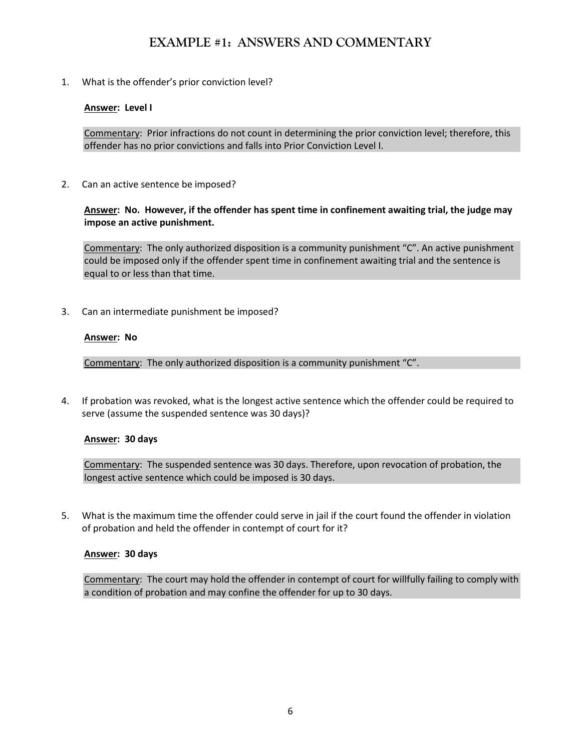## **EXAMPLE #1: ANSWERS AND COMMENTARY**

1. What is the offender's prior conviction level?

### **Answer: Level I**

Commentary: Prior infractions do not count in determining the prior conviction level; therefore, this offender has no prior convictions and falls into Prior Conviction Level I.

2. Can an active sentence be imposed?

**Answer: No. However, if the offender has spent time in confinement awaiting trial, the judge may impose an active punishment.**

Commentary: The only authorized disposition is a community punishment "C". An active punishment could be imposed only if the offender spent time in confinement awaiting trial and the sentence is equal to or less than that time.

3. Can an intermediate punishment be imposed?

### **Answer: No**

Commentary: The only authorized disposition is a community punishment "C".

4. If probation was revoked, what is the longest active sentence which the offender could be required to serve (assume the suspended sentence was 30 days)?

#### **Answer: 30 days**

Commentary: The suspended sentence was 30 days. Therefore, upon revocation of probation, the longest active sentence which could be imposed is 30 days.

5. What is the maximum time the offender could serve in jail if the court found the offender in violation of probation and held the offender in contempt of court for it?

#### **Answer: 30 days**

Commentary: The court may hold the offender in contempt of court for willfully failing to comply with a condition of probation and may confine the offender for up to 30 days.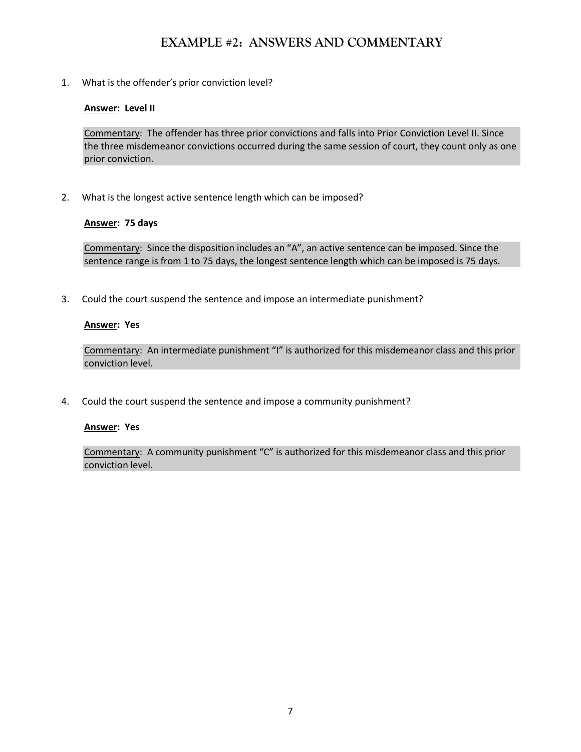# **EXAMPLE #2: ANSWERS AND COMMENTARY**

1. What is the offender's prior conviction level?

### **Answer: Level II**

Commentary: The offender has three prior convictions and falls into Prior Conviction Level II. Since the three misdemeanor convictions occurred during the same session of court, they count only as one prior conviction.

2. What is the longest active sentence length which can be imposed?

#### **Answer: 75 days**

Commentary: Since the disposition includes an "A", an active sentence can be imposed. Since the sentence range is from 1 to 75 days, the longest sentence length which can be imposed is 75 days.

3. Could the court suspend the sentence and impose an intermediate punishment?

### **Answer: Yes**

Commentary: An intermediate punishment "I" is authorized for this misdemeanor class and this prior conviction level.

4. Could the court suspend the sentence and impose a community punishment?

#### **Answer: Yes**

Commentary: A community punishment "C" is authorized for this misdemeanor class and this prior conviction level.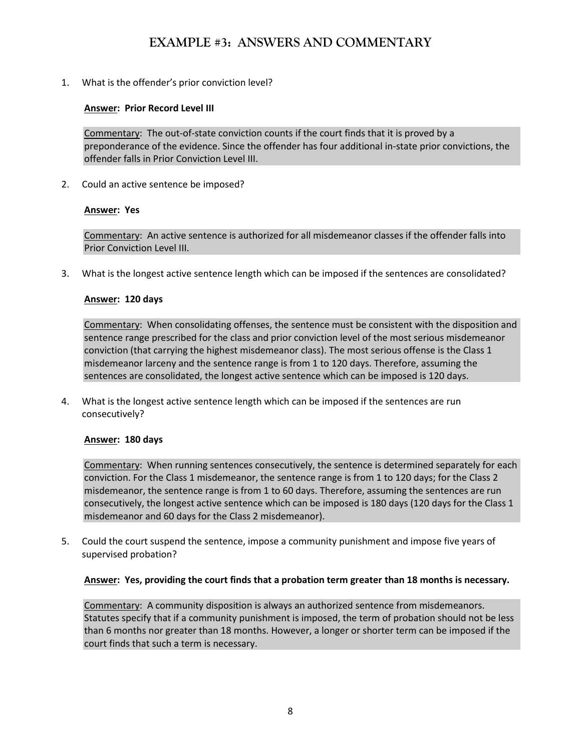# **EXAMPLE #3: ANSWERS AND COMMENTARY**

1. What is the offender's prior conviction level?

### **Answer: Prior Record Level III**

Commentary: The out-of-state conviction counts if the court finds that it is proved by a preponderance of the evidence. Since the offender has four additional in-state prior convictions, the offender falls in Prior Conviction Level III.

2. Could an active sentence be imposed?

### **Answer: Yes**

Commentary: An active sentence is authorized for all misdemeanor classes if the offender falls into Prior Conviction Level III.

3. What is the longest active sentence length which can be imposed if the sentences are consolidated?

### **Answer: 120 days**

Commentary: When consolidating offenses, the sentence must be consistent with the disposition and sentence range prescribed for the class and prior conviction level of the most serious misdemeanor conviction (that carrying the highest misdemeanor class). The most serious offense is the Class 1 misdemeanor larceny and the sentence range is from 1 to 120 days. Therefore, assuming the sentences are consolidated, the longest active sentence which can be imposed is 120 days.

4. What is the longest active sentence length which can be imposed if the sentences are run consecutively?

#### **Answer: 180 days**

Commentary: When running sentences consecutively, the sentence is determined separately for each conviction. For the Class 1 misdemeanor, the sentence range is from 1 to 120 days; for the Class 2 misdemeanor, the sentence range is from 1 to 60 days. Therefore, assuming the sentences are run consecutively, the longest active sentence which can be imposed is 180 days (120 days for the Class 1 misdemeanor and 60 days for the Class 2 misdemeanor).

5. Could the court suspend the sentence, impose a community punishment and impose five years of supervised probation?

#### **Answer: Yes, providing the court finds that a probation term greater than 18 months is necessary.**

Commentary: A community disposition is always an authorized sentence from misdemeanors. Statutes specify that if a community punishment is imposed, the term of probation should not be less than 6 months nor greater than 18 months. However, a longer or shorter term can be imposed if the court finds that such a term is necessary.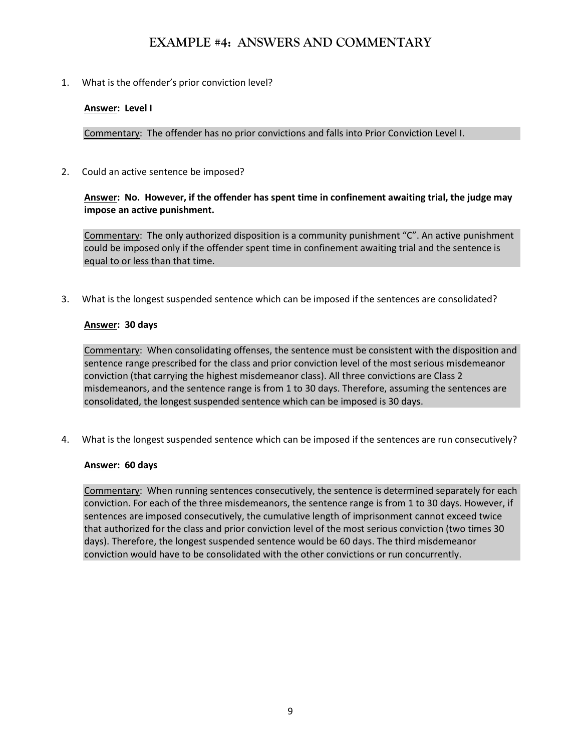## **EXAMPLE #4: ANSWERS AND COMMENTARY**

1. What is the offender's prior conviction level?

## **Answer: Level I**

Commentary: The offender has no prior convictions and falls into Prior Conviction Level I.

2. Could an active sentence be imposed?

### **Answer: No. However, if the offender has spent time in confinement awaiting trial, the judge may impose an active punishment.**

Commentary: The only authorized disposition is a community punishment "C". An active punishment could be imposed only if the offender spent time in confinement awaiting trial and the sentence is equal to or less than that time.

3. What is the longest suspended sentence which can be imposed if the sentences are consolidated?

### **Answer: 30 days**

Commentary: When consolidating offenses, the sentence must be consistent with the disposition and sentence range prescribed for the class and prior conviction level of the most serious misdemeanor conviction (that carrying the highest misdemeanor class). All three convictions are Class 2 misdemeanors, and the sentence range is from 1 to 30 days. Therefore, assuming the sentences are consolidated, the longest suspended sentence which can be imposed is 30 days.

4. What is the longest suspended sentence which can be imposed if the sentences are run consecutively?

## **Answer: 60 days**

Commentary: When running sentences consecutively, the sentence is determined separately for each conviction. For each of the three misdemeanors, the sentence range is from 1 to 30 days. However, if sentences are imposed consecutively, the cumulative length of imprisonment cannot exceed twice that authorized for the class and prior conviction level of the most serious conviction (two times 30 days). Therefore, the longest suspended sentence would be 60 days. The third misdemeanor conviction would have to be consolidated with the other convictions or run concurrently.